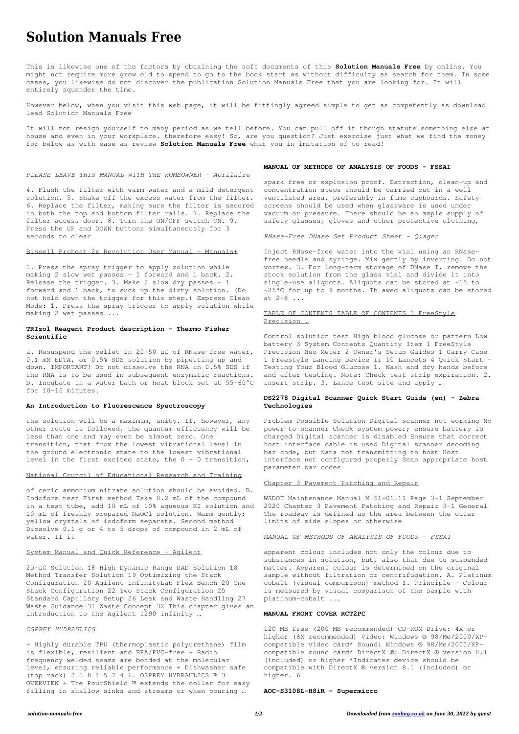# **Solution Manuals Free**

This is likewise one of the factors by obtaining the soft documents of this **Solution Manuals Free** by online. You might not require more grow old to spend to go to the book start as without difficulty as search for them. In some cases, you likewise do not discover the publication Solution Manuals Free that you are looking for. It will entirely squander the time.

However below, when you visit this web page, it will be fittingly agreed simple to get as competently as download lead Solution Manuals Free

It will not resign yourself to many period as we tell before. You can pull off it though statute something else at house and even in your workplace. therefore easy! So, are you question? Just exercise just what we find the money for below as with ease as review **Solution Manuals Free** what you in imitation of to read!

#### *PLEASE LEAVE THIS MANUAL WITH THE HOMEOWNER - Aprilaire*

the solution will be a maximum, unity. If, however, any other route is followed, the quantum efficiency will be less than one and may even be almost zero. One transition, that from the lowest vibrational level in the ground electronic state to the lowest vibrational level in the first excited state, the  $0 - 0$  transition,

4. Flush the filter with warm water and a mild detergent solution. 5. Shake off the excess water from the filter. 6. Replace the filter, making sure the filter is secured in both the top and bottom filter rails. 7. Replace the filter access door. 8. Turn the ON/OFF switch ON. 9. Press the UP and DOWN buttons simultaneously for 3 seconds to clear

#### Bissell Proheat 2x Revolution User Manual - Manuals+

1. Press the spray trigger to apply solution while making 2 slow wet passes – 1 forward and 1 back. 2. Release the trigger. 3. Make 2 slow dry passes – 1 forward and 1 back, to suck up the dirty solution. (Do not hold down the trigger for this step.) Express Clean Mode: 1. Press the spray trigger to apply solution while making 2 wet passes ...

### **TRIzol Reagent Product description - Thermo Fisher Scientific**

a. Resuspend the pellet in 20–50 µL of RNase-free water, 0.1 mM EDTA, or 0.5% SDS solution by pipetting up and down. IMPORTANT! Do not dissolve the RNA in 0.5% SDS if the RNA is to be used in subsequent enzymatic reactions. b. Incubate in a water bath or heat block set at 55–60°C for 10–15 minutes.

#### **An Introduction to Fluorescence Spectroscopy**

# National Council of Educational Research and Training

of ceric ammonium nitrate solution should be avoided. B. Iodoform test First method Take 0.2 mL of the compound in a test tube, add 10 mL of 10% aqueous KI solution and 10 mL of freshly prepared NaOCl solution. Warm gently; yellow crystals of iodoform separate. Second method Dissolve 0.1 g or 4 to 5 drops of compound in 2 mL of water. If it

#### System Manual and Quick Reference - Agilent

2D-LC Solution 18 High Dynamic Range DAD Solution 18 Method Transfer Solution 19 Optimizing the Stack Configuration 20 Agilent InfinityLab Flex Bench 20 One Stack Configuration 22 Two Stack Configuration 25 Standard Capillary Setup 26 Leak and Waste Handling 27 Waste Guidance 31 Waste Concept 32 This chapter gives an introduction to the Agilent 1290 Infinity …

*OSPREY HYDRAULICS*

+ Highly durable TPU (thermoplastic polyurethane) film is flexible, resilient and BPA/PVC-free + Radio frequency welded seams are bonded at the molecular level, ensuring reliable performance + Dishwasher safe (top rack) 2 3 8 1 5 7 4 6. OSPREY HYDRAULICS ™ 3 OVERVIEW + The PourShield ™ extends the collar for easy filling in shallow sinks and streams or when pouring …

#### **MANUAL OF METHODS OF ANALYSIS OF FOODS - FSSAI**

spark free or explosion proof. Extraction, clean-up and concentration steps should be carried out in a well ventilated area, preferably in fume cupboards. Safety screens should be used when glassware is used under vacuum or pressure. There should be an ample supply of safety glasses, gloves and other protective clothing,

*RNase-Free DNase Set Product Sheet - Qiagen*

Inject RNase-free water into the vial using an RNasefree needle and syringe. Mix gently by inverting. Do not vortex. 3. For long-term storage of DNase I, remove the stock solution from the glass vial and divide it into single-use aliquots. Aliquots can be stored at –15 to –25°C for up to 9 months. Th awed aliquots can be stored at 2–8 ...

# TABLE OF CONTENTS TABLE OF CONTENTS 1 FreeStyle Precision …

Control solution test High blood glucose or pattern Low battery 3 System Contents Quantity Item 1 FreeStyle Precision Neo Meter 2 Owner's Setup Guides 1 Carry Case 1 Freestyle Lancing Device II 10 Lancets 4 Quick Start – Testing Your Blood Glucose 1. Wash and dry hands before and after testing. Note: Check test strip expiration. 2. Insert strip. 3. Lance test site and apply …

### **DS2278 Digital Scanner Quick Start Guide (en) - Zebra Technologies**

Problem Possible Solution Digital scanner not working No power to scanner Check system power; ensure battery is charged Digital scanner is disabled Ensure that correct host interface cable is used Digital scanner decoding bar code, but data not transmitting to host Host interface not configured properly Scan appropriate host parameter bar codes

# Chapter 3 Pavement Patching and Repair

WSDOT Maintenance Manual M 51-01.11 Page 3-1 September 2020 Chapter 3 Pavement Patching and Repair 3-1 General The roadway is defined as the area between the outer limits of side slopes or otherwise

*MANUAL OF METHODS OF ANALYSIS OF FOODS - FSSAI*

apparent colour includes not only the colour due to

substances in solution, but, also that due to suspended matter. Apparent colour is determined on the original sample without filtration or centrifugation. A. Platinum cobalt (visual comparison) method 1. Principle - Colour is measured by visual comparison of the sample with platinum-cobalt ...

#### **MANUAL FRONT COVER RCT2PC**

120 MB free (200 MB recommended) CD-ROM Drive: 4X or higher (8X recommended) Video: Windows ® 98/Me/2000/XPcompatible video card\* Sound: Windows ® 98/Me/2000/XPcompatible sound card\* DirectX ®: DirectX ® version 8.1 (included) or higher \*Indicates device should be compatible with DirectX ® version 8.1 (included) or higher. 6

**AOC-S3108L-H8iR - Supermicro**